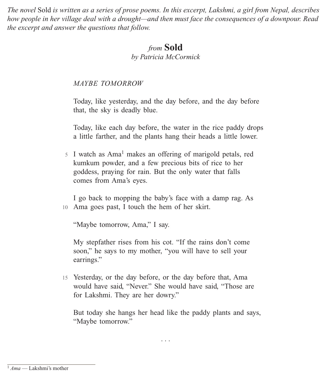*The novel* Sold *is written as a series of prose poems. In this excerpt, Lakshmi, a girl from Nepal, describes how people in her village deal with a drought—and then must face the consequences of a downpour. Read the excerpt and answer the questions that follow.*

# *from* **Sold**

*by Patricia McCormick*

## *MAYBE TOMORROW*

Today, like yesterday, and the day before, and the day before that, the sky is deadly blue.

Today, like each day before, the water in the rice paddy drops a little farther, and the plants hang their heads a little lower.

<sup>5</sup> I watch as Ama1 makes an offering of marigold petals, red kumkum powder, and a few precious bits of rice to her goddess, praying for rain. But the only water that falls comes from Ama's eyes.

I go back to mopping the baby's face with a damp rag. As 10 Ama goes past, I touch the hem of her skirt.

"Maybe tomorrow, Ama," I say.

My stepfather rises from his cot. "If the rains don't come soon," he says to my mother, "you will have to sell your earrings."

15 Yesterday, or the day before, or the day before that, Ama would have said, "Never." She would have said, "Those are for Lakshmi. They are her dowry."

But today she hangs her head like the paddy plants and says, "Maybe tomorrow."

. . .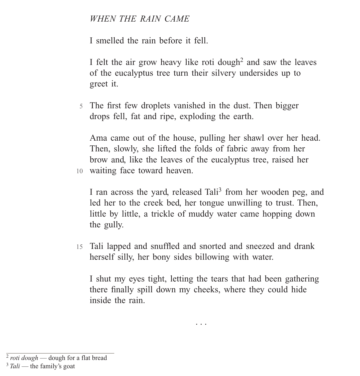#### *WHEN THE RAIN CAME*

I smelled the rain before it fell.

I felt the air grow heavy like roti dough<sup>2</sup> and saw the leaves of the eucalyptus tree turn their silvery undersides up to greet it.

5 The first few droplets vanished in the dust. Then bigger drops fell, fat and ripe, exploding the earth.

Ama came out of the house, pulling her shawl over her head. Then, slowly, she lifted the folds of fabric away from her brow and, like the leaves of the eucalyptus tree, raised her 10 waiting face toward heaven.

I ran across the yard, released Tali<sup>3</sup> from her wooden peg, and led her to the creek bed, her tongue unwilling to trust. Then, little by little, a trickle of muddy water came hopping down the gully.

15 Tali lapped and snuffled and snorted and sneezed and drank herself silly, her bony sides billowing with water.

I shut my eyes tight, letting the tears that had been gathering there finally spill down my cheeks, where they could hide inside the rain.

. . .

<sup>2</sup> *roti dough* — dough for a flat bread

<sup>&</sup>lt;sup>3</sup> Tali — the family's goat